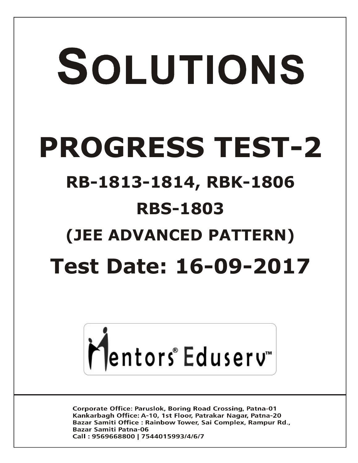# SOLUTIONS **PROGRESS TEST-2 RB-1813-1814, RBK-1806 RBS-1803 (JEE ADVANCED PATTERN) Test Date: 16-09-2017**



**Corporate Office: Paruslok, Boring Road Crossing, Patna-01** Kankarbagh Office: A-10, 1st Floor, Patrakar Nagar, Patna-20 Bazar Samiti Office: Rainbow Tower, Sai Complex, Rampur Rd., **Bazar Samiti Patna-06** Call: 9569668800 | 7544015993/4/6/7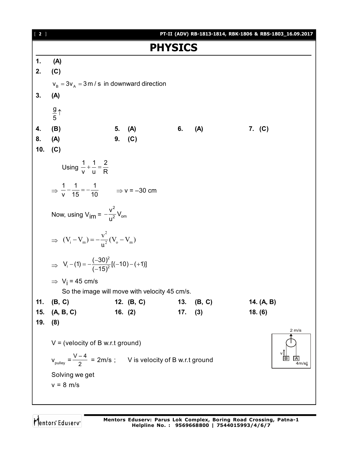

Mentors Eduserv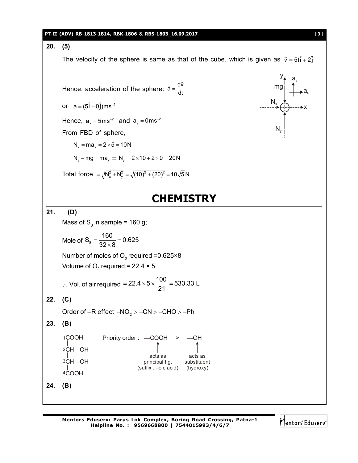#### **PT-II (ADV) RB-1813-1814, RBK-1806 & RBS-1803\_16.09.2017** [ **3** ]

#### **20. (5)**

The velocity of the sphere is same as that of the cube, which is given as  $\vec{v} = 5t\hat{i} + 2\hat{j}$ 

Hence, acceleration of the sphere:  $\vec{a} = \frac{d\vec{v}}{dt}$  $\overline{a}$ 

or  $\vec{a} = (5\hat{i} + 0\hat{j})ms^{-2}$ 

Hence,  $a_x = 5$ ms<sup>-2</sup> and  $a_y = 0$ ms<sup>-2</sup>

From FBD of sphere,

 $N_x = ma_x = 2 \times 5 = 10N$ 

$$
N_y - mg = ma_y \Rightarrow N_y = 2 \times 10 + 2 \times 0 = 20N
$$

Total force = 
$$
\sqrt{N_x^2 + N_y^2}
$$
 =  $\sqrt{(10)^2 + (20)^2}$  = 10 $\sqrt{5}$  N



## **CHEMISTRY**

#### **21. (D)**

Mass of  $\mathsf{S}_{_{8}}$  in sample = 160 g;

$$
Mole of S_8 = \frac{160}{32 \times 8} = 0.625
$$

Number of moles of  $\mathrm{O}_2$  required =0.625×8 Volume of  $\text{O}_2$  required = 22.4  $\times$  5

∴ Vol. of air required = 
$$
22.4 \times 5 \times \frac{100}{21} = 533.33
$$
 L

**22. (C)**

Order of –R effect  $\left.\text{-NO}_{\text{2}}\text{ > -CN}\text{ > -CHO}\text{ > -Ph}\right.$ 

$$
23. (B)
$$

COOH CH—OH CH—OH COOH 1 2 3 Priority order : —COOH > —OH acts as principal f.g. (suffix : –oic acid) acts as substituent (hydroxy)

**24. (B)**

4

Mentors Eduserv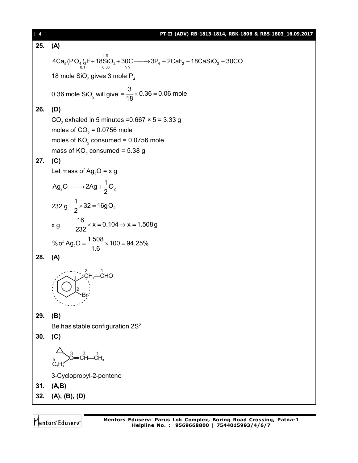| $[4]$ | PT-II (ADV) RB-1813-1814, RBK-1806 & RBS-1803_16.09.2017                                                                                                                                                                                                      |  |  |
|-------|---------------------------------------------------------------------------------------------------------------------------------------------------------------------------------------------------------------------------------------------------------------|--|--|
| 25.   | (A)                                                                                                                                                                                                                                                           |  |  |
|       | $4Ca5(PO4)3F + 18SiO2+ 30C \longrightarrow 3P4 + 2CaF2 + 18CaSiO3 + 30CO$                                                                                                                                                                                     |  |  |
|       | 18 mole $\text{SiO}_2$ gives 3 mole $\text{P}_4$                                                                                                                                                                                                              |  |  |
|       |                                                                                                                                                                                                                                                               |  |  |
|       | 0.36 mole SiO <sub>2</sub> will give $=$ $\frac{3}{18}$ $\times$ 0.36 = 0.06 mole                                                                                                                                                                             |  |  |
| 26.   | (D)                                                                                                                                                                                                                                                           |  |  |
|       | CO <sub>2</sub> exhaled in 5 minutes = $0.667 \times 5 = 3.33$ g                                                                                                                                                                                              |  |  |
|       | moles of $CO2 = 0.0756$ mole                                                                                                                                                                                                                                  |  |  |
|       | moles of $KO2$ consumed = 0.0756 mole                                                                                                                                                                                                                         |  |  |
|       | mass of $KO2$ consumed = 5.38 g                                                                                                                                                                                                                               |  |  |
| 27.   | (C)<br>Let mass of Ag <sub>2</sub> O = x g                                                                                                                                                                                                                    |  |  |
|       |                                                                                                                                                                                                                                                               |  |  |
|       | $Ag_2O \longrightarrow 2Ag + \frac{1}{2}O_2$                                                                                                                                                                                                                  |  |  |
|       | 232 g $\frac{1}{2} \times 32 = 16gO_2$                                                                                                                                                                                                                        |  |  |
|       | x g $\frac{16}{232} \times x = 0.104 \implies x = 1.508g$                                                                                                                                                                                                     |  |  |
|       | % of Ag <sub>2</sub> O = $\frac{1.508}{1.6}$ × 100 = 94.25%                                                                                                                                                                                                   |  |  |
| 28.   | (A)                                                                                                                                                                                                                                                           |  |  |
|       | $L^2$ , $L^2$ , $L^2$ , $L^2$ , $L^2$ , $L^2$ , $L^2$ , $L^2$ , $L^2$ , $L^2$ , $L^2$ , $L^2$ , $L^2$ , $L^2$ , $L^2$ , $L^2$ , $L^2$ , $L^2$ , $L^2$ , $L^2$ , $L^2$ , $L^2$ , $L^2$ , $L^2$ , $L^2$ , $L^2$ , $L^2$ , $L^2$ , $L^2$ , $L^2$ , $L^2$ , $L^2$ |  |  |
| 29.   | (B)                                                                                                                                                                                                                                                           |  |  |
|       | Be has stable configuration 2S <sup>2</sup>                                                                                                                                                                                                                   |  |  |
| 30.   | (C)                                                                                                                                                                                                                                                           |  |  |
|       |                                                                                                                                                                                                                                                               |  |  |
|       | 3-Cyclopropyl-2-pentene                                                                                                                                                                                                                                       |  |  |
| 31.   | (A,B)                                                                                                                                                                                                                                                         |  |  |
| 32.   | (A), (B), (D)                                                                                                                                                                                                                                                 |  |  |
|       |                                                                                                                                                                                                                                                               |  |  |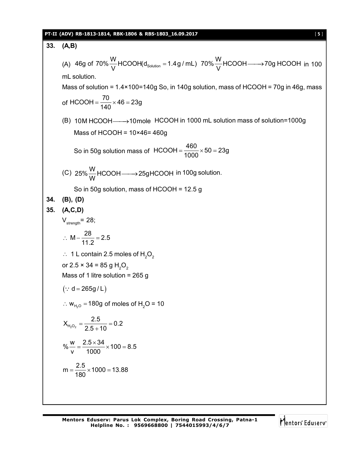### **PT-II (ADV) RB-1813-1814, RBK-1806 & RBS-1803\_16.09.2017** [ **5** ]

33. **(A,B)**  
\n(A) 46g of 70%
$$
\frac{W}{V}
$$
 HCOOH(d<sub>Solution</sub> = 1.4g/mL) 70% $\frac{W}{V}$  HCOOH —→70g HCOOH in 100  
\nm. solution.  
\nMass of solution = 1.4×100=140g So, in 140g solution, mass of HCOOH = 70g in 46g, mass  
\nof HCOOH =  $\frac{70}{140} \times 46 = 23g$   
\n(B) 10M HCOOH —→10mole HCOOH in 1000 mL solution mass of solution=1000g  
\nMass of HCOOH = 10×46= 460g  
\nSo in 50g solution mass of HCOOH =  $\frac{460}{1000} \times 50 = 23g$   
\n(C) 25% $\frac{W}{W}$  HCOOH —→25gHCOOH in 100g solution.  
\nSo in 50g solution, mass of HCOOH = 12.5 g  
\n34. **(B)**, **(D)**  
\n35. **(A,C,D)**  
\n $V_{\text{atmapm}} = 28$ ;  
\n $\therefore M - \frac{28}{11.2} = 2.5$   
\n $\therefore 1 \text{ L contain 2.5 moles of H2O2$   
\nor 2.5 × 34 = 85 g H<sub>2</sub>O<sub>2</sub>  
\nMass of 1 litre solution = 265 g  
\n( $\because d = 265g/L$ )  
\n $\therefore w_{H_2O_2} = \frac{2.5}{2.5 + 10} = 0.2$   
\n $\% \frac{w}{v} = \frac{2.5 \times 34}{1000} \times 100 = 8.5$   
\n $m = \frac{2.5}{180} \times 1000 = 13.88$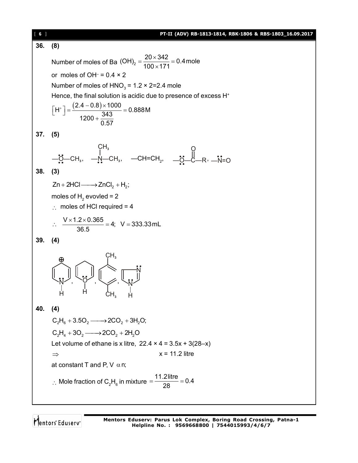| $\begin{bmatrix} 6 \end{bmatrix}$ | PT-II (ADV) RB-1813-1814, RBK-1806 & RBS-1803_16.09.2017                                                                              |  |  |  |
|-----------------------------------|---------------------------------------------------------------------------------------------------------------------------------------|--|--|--|
| 36.                               | (8)                                                                                                                                   |  |  |  |
|                                   | Number of moles of Ba $(OH)_2 = \frac{20 \times 342}{100 \times 171} = 0.4$ mole                                                      |  |  |  |
|                                   | or moles of OH $= 0.4 \times 2$                                                                                                       |  |  |  |
|                                   | Number of moles of $HNO3 = 1.2 \times 2=2.4$ mole                                                                                     |  |  |  |
|                                   | Hence, the final solution is acidic due to presence of excess H <sup>+</sup>                                                          |  |  |  |
|                                   | $\left[H^+\right] = \frac{(2.4 - 0.8) \times 1000}{1200 + \frac{343}{0.57}} = 0.888 \text{M}$                                         |  |  |  |
| 37.                               | (5)                                                                                                                                   |  |  |  |
|                                   |                                                                                                                                       |  |  |  |
|                                   | CH <sub>3</sub><br>— <u>C</u> 2—CH <sub>3</sub> , —N—CH <sub>3</sub> , —CH=CH <sub>2</sub> , —C <sub>2</sub> —C—R <sup>2</sup> , —N=O |  |  |  |
| 38.                               | (3)                                                                                                                                   |  |  |  |
|                                   | $Zn + 2HCl \longrightarrow ZnCl_2 + H_2;$                                                                                             |  |  |  |
|                                   | moles of $H$ <sub>2</sub> evovled = 2                                                                                                 |  |  |  |
|                                   | $\therefore$ moles of HCI required = 4                                                                                                |  |  |  |
|                                   | ∴ $\frac{V \times 1.2 \times 0.365}{36.5}$ = 4; V = 333.33 mL                                                                         |  |  |  |
| 39.                               | (4)                                                                                                                                   |  |  |  |
|                                   | CH <sub>3</sub>                                                                                                                       |  |  |  |
| 40.                               | (4)                                                                                                                                   |  |  |  |
|                                   | $C_2H_6 + 3.5O_2 \longrightarrow$ 2CO <sub>2</sub> + 3H <sub>2</sub> O;                                                               |  |  |  |
|                                   | $C_2H_4 + 3O_2 \longrightarrow$ 2CO <sub>2</sub> + 2H <sub>2</sub> O                                                                  |  |  |  |
|                                   | Let volume of ethane is x litre, $22.4 \times 4 = 3.5x + 3(28-x)$                                                                     |  |  |  |
|                                   | $x = 11.2$ litre<br>$\Rightarrow$                                                                                                     |  |  |  |
|                                   | at constant T and P, V $\alpha$ n;                                                                                                    |  |  |  |
|                                   | ∴ Mole fraction of C <sub>2</sub> H <sub>6</sub> in mixture = $\frac{11.2$ litre = 0.4                                                |  |  |  |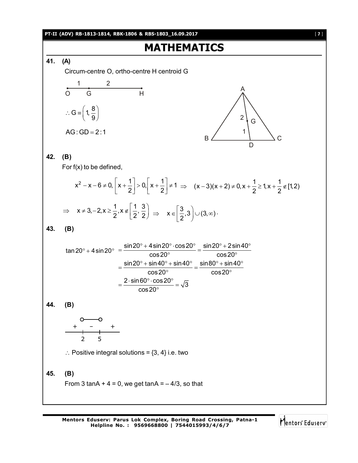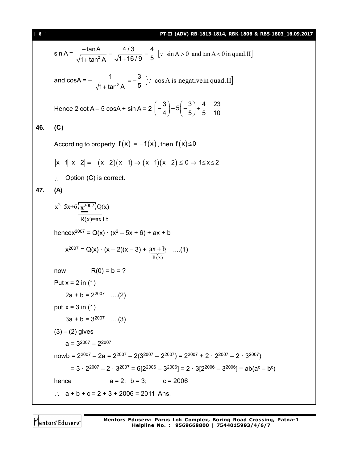131 (AUV) a3364345614, a336456163 (a) a354605 (a) a354605 (a) a354605 (a) a354605 (a) a354605 (a) a354605 (a) a354617  
\nand cosA = 
$$
-\frac{1}{\sqrt{1 + \tan^2 A}} = -\frac{3}{5}
$$
 [∴ cos A is negative in quad.11]  
\nHence 2 cotA – 5 cosA + sin A = 2  $(-\frac{3}{4})$  – 5 $(-\frac{3}{5})$  +  $\frac{4}{5}$  =  $\frac{23}{10}$   
\n46. (C)  
\nAccording to property  $|f(x)| = -f(x)$ , then  $f(x) \le 0$   
\n $|x - 1| |x - 2| = -(x - 2)(x - 1) \Rightarrow (x - 1)(x - 2) \le 0 \Rightarrow 1 \le x \le 2$   
\n∴ Option (C) is correct.  
\n47. (A)  
\n $x^2-5x+6\frac{\sqrt{2007}}{100}(0x)$   
\n $\frac{1}{10(x)}-ax+b$   
\nhence  $x^{2007} = Q(x) \cdot (x^2-5x+6) + ax + b$   
\n $x^{2007} = Q(x) \cdot (x-2)(x-3) + \frac{ax+b}{k(x)}$  ....(1)  
\nnow  $R(0) = b = ?$   
\nPut  $x = 2$  in (1)  
\n $2a + b = 2^{2007}$  ....(2)  
\nput  $x = 3$  in (1)  
\n $3a + b = 3^{2007}$  ....(3)  
\n(3) – (2) gives  
\na = 3<sup>2007</sup> - 2a = 2<sup>2007</sup> - 2(3<sup>2007</sup> - 2<sup>2007</sup>) = 2<sup>2007</sup> + 2 · 2<sup>2007</sup> - 2 · 3<sup>2007</sup>)  
\n= 3 · 2<sup>2007</sup> - 2a = 2<sup>2007</sup> - 2(3<sup>2007</sup> - 2<sup>2007</sup>) = 2 ·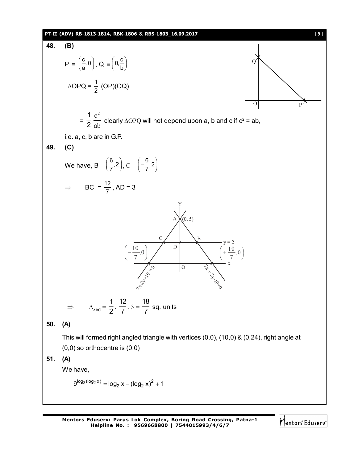**141. (ADV) R3-63+3614, R3C-636-8. R53-1609-0017**  
\n**48. (B)**  
\n
$$
P = \left(\frac{c}{a}, 0\right), Q = \left(0, \frac{c}{b}\right)
$$
\n
$$
\Delta OPQ = \frac{1}{2} (OP)(OQ)
$$
\n
$$
= \frac{1}{2} \frac{c^2}{ab} \text{ clearly } \Delta OPQ \text{ will not depend upon a, b and c if } c^2 = ab,
$$
\ni.e. a, c, b are in G.P.  
\n**49. (C)**  
\nWe have,  $B = \left(\frac{6}{7}, 2\right), C = \left(-\frac{6}{7}, 2\right)$   
\n
$$
\Rightarrow BC = \frac{12}{7}, AD = 3
$$
\n
$$
\Rightarrow \left(-\frac{10}{7}, 0\right) \qquad \Rightarrow \left(-\frac{10}{7}, 0\right) \qquad \Rightarrow \left(-\frac{10}{7}, 0\right) \qquad \Rightarrow \left(-\frac{10}{7}, 0\right) \qquad \Rightarrow \left(-\frac{10}{7}, 0\right) \qquad \Rightarrow \left(-\frac{10}{7}, 0\right) \qquad \Rightarrow \left(-\frac{10}{7}, 0\right) \qquad \Rightarrow \left(-\frac{10}{7}, 0\right) \qquad \Rightarrow \left(-\frac{10}{7}, 0\right) \qquad \Rightarrow \left(-\frac{10}{7}, 0\right) \qquad \Rightarrow \left(-\frac{10}{7}, 0\right) \qquad \Rightarrow \left(-\frac{10}{7}, 0\right) \qquad \Rightarrow \left(-\frac{10}{7}, 0\right) \qquad \Rightarrow \left(-\frac{10}{7}, 0\right) \qquad \Rightarrow \left(-\frac{10}{7}, 0\right) \qquad \Rightarrow \left(-\frac{10}{7}, 0\right) \qquad \Rightarrow \left(-\frac{10}{7}, 0\right) \qquad \Rightarrow \left(-\frac{10}{7}, 0\right) \qquad \Rightarrow \left(-\frac{10}{7}, 0\right) \qquad \Rightarrow \left(-\frac{10}{7}, 0\right) \qquad \Rightarrow \left(-\frac{10}{7}, 0\right) \qquad \Rightarrow \left(-\frac{10}{7}, 0\right) \qquad \Rightarrow \left(-\frac{10}{7}, 0\right)
$$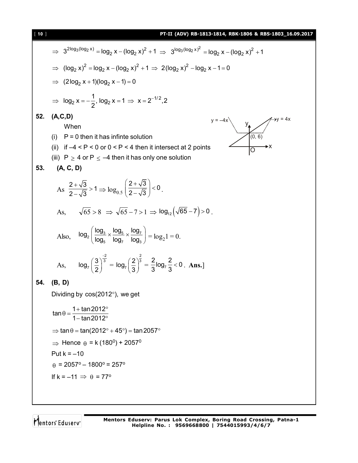| $[ 10 ]$ | PT-II (ADV) RB-1813-1814, RBK-1806 & RBS-1803_16.09.2017                                                                                     |  |  |
|----------|----------------------------------------------------------------------------------------------------------------------------------------------|--|--|
|          | $\Rightarrow 3^{2\log_3(\log_2 x)} = \log_2 x - (\log_2 x)^2 + 1 \Rightarrow 3^{\log_3(\log_2 x)^2} = \log_2 x - (\log_2 x)^2 + 1$           |  |  |
|          | ⇒ $(\log_2 x)^2 = \log_2 x - (\log_2 x)^2 + 1$ ⇒ 2 $(\log_2 x)^2 - \log_2 x - 1 = 0$                                                         |  |  |
|          | $\Rightarrow$ (2log <sub>2</sub> x + 1)(log <sub>2</sub> x - 1) = 0                                                                          |  |  |
|          | ⇒ $\log_2 x = -\frac{1}{2}$ , $\log_2 x = 1$ ⇒ $x = 2^{-1/2}$ , 2                                                                            |  |  |
| 52.      | (A, C, D)                                                                                                                                    |  |  |
|          | $y = -4x$<br>(0, 6)<br>When                                                                                                                  |  |  |
|          | (i) $P = 0$ then it has infinte solution                                                                                                     |  |  |
|          | (ii) if $-4 < P < 0$ or $0 < P < 4$ then it intersect at 2 points                                                                            |  |  |
|          | (iii) $P \ge 4$ or $P \le -4$ then it has only one solution                                                                                  |  |  |
| 53.      | (A, C, D)                                                                                                                                    |  |  |
|          | As $\frac{2+\sqrt{3}}{2-\sqrt{3}} > 1 \Rightarrow \log_{0.5}\left(\frac{2+\sqrt{3}}{2-\sqrt{3}}\right) < 0$ .                                |  |  |
|          | As, $\sqrt{65} > 8 \implies \sqrt{65} - 7 > 1 \implies \log_{12}(\sqrt{65} - 7) > 0$ .                                                       |  |  |
|          | Also, $\log_2 \left( \frac{\log_3}{\log_2} \times \frac{\log_5}{\log_2} \times \frac{\log_7}{\log_2} \right) = \log_2 1 = 0.$                |  |  |
|          | As, $\log_7\left(\frac{3}{2}\right)^{\frac{2}{3}} = \log_7\left(\frac{2}{3}\right)^{\frac{2}{3}} = \frac{2}{3}\log_7\frac{2}{3} < 0$ . Ans.] |  |  |
| 54.      | (B, D)                                                                                                                                       |  |  |
|          | Dividing by $cos(2012^{\circ})$ , we get                                                                                                     |  |  |
|          | $\tan \theta = \frac{1 + \tan 2012^{\circ}}{}$<br>1 - tan 2012 $^{\circ}$                                                                    |  |  |
|          | $\Rightarrow$ tan $\theta$ = tan(2012° + 45°) = tan 2057°                                                                                    |  |  |
|          | ⇒ Hence $\theta$ = k (180 <sup>0</sup> ) + 2057 <sup>0</sup>                                                                                 |  |  |
|          | Put $k = -10$                                                                                                                                |  |  |
|          | $\theta$ = 2057° – 1800° = 257°                                                                                                              |  |  |
|          | If $k = -11 \implies \theta = 77^{\circ}$                                                                                                    |  |  |
|          |                                                                                                                                              |  |  |
|          |                                                                                                                                              |  |  |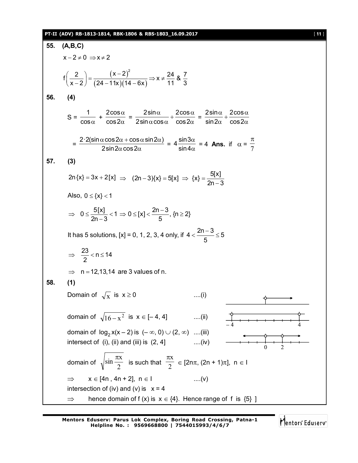#### **PT-II (ADV) RB-1813-1814, RBK-1806 & RBS-1803\_16.09.2017** [ **11** ]

55. (A,B,C)  
\n
$$
x-2 \ne 0 \Rightarrow x \ne 2
$$
  
\n $f\left(\frac{2}{x-2}\right) = \frac{(x-2)^2}{(24-11x)(14-6x)} \Rightarrow x \ne \frac{24}{11} 8\frac{7}{3}$   
\n56. (4)  
\n $S = \frac{1}{\cos \alpha} + \frac{2\cos \alpha}{\cos 2\alpha} = \frac{2\sin \alpha}{2\sin \alpha \cos \alpha} + \frac{2\cos \alpha}{\cos 2\alpha} = \frac{2\sin \alpha}{\sin 2\alpha} + \frac{2\cos \alpha}{\cos 2\alpha}$   
\n $= \frac{2 \cdot 2(\sin \alpha \cos 2\alpha + \cos \alpha \sin 2\alpha)}{2\sin 2\alpha \cos 2\alpha} = 4\frac{\sin 3\alpha}{\sin 4\alpha} = 4$  Ans. if  $\alpha = \frac{\pi}{7}$   
\n57. (3)  
\n $2n(x) = 3x + 2[x] \Rightarrow (2n-3)(x) = 5[x] \Rightarrow (x) = \frac{5[x]}{2n-3}$   
\nAlso,  $0 \le \{x\} < 1$   
\n $\Rightarrow 0 \le \frac{5[x]}{2n-3} < 1 \Rightarrow 0 \le |x| < \frac{2n-3}{5}$ , {n > 2}  
\nIt has 5 solutions, [x] = 0, 1, 2, 3, 4 only, if 4  $\lt \frac{2n-3}{5} \le 5$   
\n $\Rightarrow \frac{23}{2} < n \le 14$   
\n $\Rightarrow n = 12, 13, 14$  are 3 values of n.  
\n58. (1)  
\nDomain of  $\sqrt{x}$  is x ≥ 0 ....(i)  
\ndomain of  $\sqrt{x}$  is x ≥ 0 ....(ii)  
\ndomain of  $\log_2 x(x-2)$  is (-∞, 0) ∪ (2, ∞) ....(iii)  
\nintersect of (i), (ii) and (iii) is (2, 4) ....(iv)  
\nintersect of (i), (iii)  $\frac{x}{2}$   
\ndomain of  $\sqrt{\sin \frac{\pi x}{2}}$  is such that  $\frac{\pi x}{2} \in [2n\pi, (2n + 1)\pi]$ , n ∈ 1  
\n $\Rightarrow x \in [4n,$ 

**Mentors Eduserv: Parus Lok Complex, Boring Road Crossing, Patna-1 Helpline No. : 9569668800 | 7544015993/4/6/7**